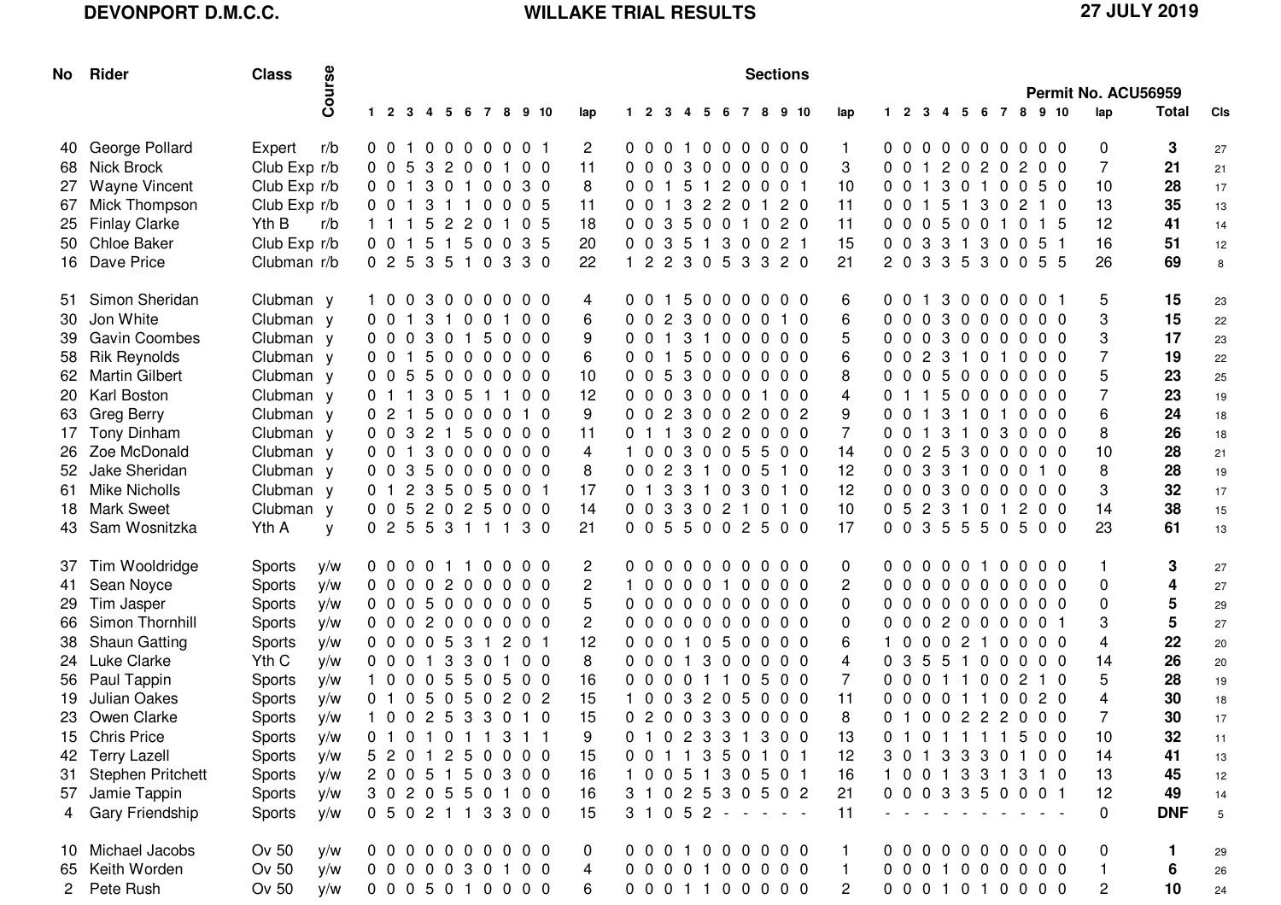## **DEVONPORT D.M.C.C. WILLAKE TRIAL RESULTS 27 JULY 2019**

|     | No Rider             | <b>Class</b>  | Course | <b>Sections</b> |                        |                |                 |  |  |       |  |                |              |                |              |                   |  |               |     |                     |                |                |                |                                                             |       |   |       |                |                     |                |              |                     |                 |
|-----|----------------------|---------------|--------|-----------------|------------------------|----------------|-----------------|--|--|-------|--|----------------|--------------|----------------|--------------|-------------------|--|---------------|-----|---------------------|----------------|----------------|----------------|-------------------------------------------------------------|-------|---|-------|----------------|---------------------|----------------|--------------|---------------------|-----------------|
|     |                      |               |        |                 |                        |                |                 |  |  |       |  |                |              |                |              |                   |  |               |     |                     |                |                |                |                                                             |       |   |       |                |                     |                |              | Permit No. ACU56959 |                 |
|     |                      |               |        |                 | 1 2 3 4 5 6 7 8 9 10   |                |                 |  |  |       |  | lap            | $\mathbf{1}$ | $\overline{2}$ | 3            |                   |  | 4 5 6 7 8     |     | 9 10                | lap            | $1\quad 2$     |                | 3                                                           | -4    | 5 |       | 678            |                     | 9 10           | lap          | <b>Total</b>        | CIs             |
| 40. | George Pollard       | Expert        | r/b    |                 | 0 0 1 0 0 0 0 0 0 1    |                |                 |  |  |       |  | $\mathbf{2}$   |              |                |              |                   |  |               |     | 0 0 0 1 0 0 0 0 0 0 | $\mathbf{1}$   |                |                | 00000000                                                    |       |   |       |                |                     | $0\quad 0$     | 0            | 3                   | 27              |
| 68  | Nick Brock           | Club Exp r/b  |        |                 | 0 0 5 3 2 0 0 1 0 0    |                |                 |  |  |       |  | 11             |              |                |              |                   |  | 0 0 0 3 0 0 0 |     | $0\quad 0\quad 0$   | 3              |                | 001            |                                                             |       |   |       | 2 0 2 0 2      |                     | 0 <sub>0</sub> | 7            | 21                  | 21              |
| 27  | <b>Wayne Vincent</b> | Club Exp r/b  |        |                 | 0 0 1 3 0 1 0 0 3 0    |                |                 |  |  |       |  | 8              |              | 0 <sub>0</sub> | $\mathbf{1}$ | 5 1               |  | 2 0           |     | 0 0 1               | 10             | 0 <sub>0</sub> |                | $\mathbf{1}$                                                |       |   |       | 3 0 1 0 0      |                     | 5 0            | 10           | 28                  | 17              |
| 67  | Mick Thompson        | Club Exp r/b  |        |                 | 0 0 1 3 1 1 0 0 0 5    |                |                 |  |  |       |  | 11             |              | 0 <sub>0</sub> | $\mathbf{1}$ |                   |  | 3 2 2 0 1     |     | 2 <sub>0</sub>      | 11             |                | $0 \t0 \t1$    |                                                             |       |   |       |                | 5 1 3 0 2 1 0       |                | 13           | 35                  | 13              |
| 25  | <b>Finlay Clarke</b> | Yth B         | r/b    |                 | 1 1 1                  | -5             | 2 2 0 1 0 5     |  |  |       |  | 18             |              | 00             | 3            |                   |  |               |     | 5 0 0 1 0 2 0       | 11             |                |                |                                                             |       |   |       |                | 0 0 0 5 0 0 1 0 1 5 |                | 12           | 41                  | 14              |
|     | 50 Chloe Baker       | Club Exp r/b  |        |                 | $0 \t0 \t1$            |                | 5 1 5 0 0 3 5   |  |  |       |  | 20             |              | 00             |              | $3\quad 5\quad 1$ |  | 3 0           |     | 021                 | 15             |                | $0 \t0 \t3$    |                                                             |       |   |       | 3 1 3 0 0      |                     | 5 1            | 16           | 51                  | 12              |
|     | 16 Dave Price        | Clubman r/b   |        |                 | 0 2 5 3 5 1 0 3 3 0    |                |                 |  |  |       |  | 22             |              |                |              |                   |  | 2 2 3 0 5 3   |     | 3 2 0               | 21             |                |                | 2 0 3 3 5 3 0 0                                             |       |   |       |                |                     | 55             | 26           | 69                  | 8               |
|     | 51 Simon Sheridan    | Clubman y     |        |                 | 1003000000             |                |                 |  |  |       |  | 4              |              | 0 <sub>0</sub> |              |                   |  |               |     | 15000000            | 6              |                | 00             | $\mathbf{1}$                                                |       |   |       | 30000          |                     | 0 <sub>1</sub> | 5            | 15                  | 23              |
| 30  | Jon White            | Clubman y     |        |                 | 001                    |                | 3 1 0 0 1 0 0   |  |  |       |  | 6              |              | 0 <sub>0</sub> |              |                   |  |               |     | 2 3 0 0 0 0 1 0     | 6              |                | 00             | $\overline{0}$                                              |       |   |       | 30000          |                     | 0 <sub>0</sub> | 3            | 15                  | 22              |
|     | <b>Gavin Coombes</b> | Clubman y     |        |                 | $0\quad 0\quad 0\quad$ |                | 3 0 1 5 0 0 0   |  |  |       |  | 9              |              |                |              |                   |  |               |     | 0 0 1 3 1 0 0 0 0 0 | 5              |                |                | 00030000                                                    |       |   |       |                |                     | 0 <sub>0</sub> | 3            | 17                  | 23              |
| 58  | <b>Rik Reynolds</b>  | Clubman y     |        |                 | 0 0 1 5 0 0 0 0 0 0    |                |                 |  |  |       |  | 6              |              |                |              |                   |  |               |     | 0 0 1 5 0 0 0 0 0 0 | 6              |                |                | 0 0 2 3 1 0 1 0                                             |       |   |       |                |                     | 0 <sub>0</sub> |              | 19                  | 22              |
|     | 62 Martin Gilbert    | Clubman y     |        |                 | 0055000000             |                |                 |  |  |       |  | 10             |              |                |              |                   |  |               |     | 0053000000          | 8              |                |                | 00050000                                                    |       |   |       |                |                     | 0 <sub>0</sub> | 5            | 23                  | 25              |
|     | 20 Karl Boston       | Clubman y     |        |                 | 0 1 1 3 0 5 1 1 0 0    |                |                 |  |  |       |  | 12             |              |                |              |                   |  |               |     | 0003000100          | 4              |                |                | 0 1 1 5 0 0 0 0                                             |       |   |       |                |                     | 0 <sub>0</sub> | 7            | 23                  | 19              |
| 63  | <b>Greg Berry</b>    | Clubman y     |        |                 | 021                    |                | 5 0 0 0 0 1 0   |  |  |       |  | 9              |              | 0 <sub>0</sub> |              |                   |  | 2 3 0 0 2     |     | $0\quad 0\quad 2$   | 9              | 0 <sub>0</sub> |                | $\mathbf{1}$                                                |       |   |       | 3 1 0 1 0      |                     | 0 <sub>0</sub> | 6            | 24                  | 18              |
| 17  | Tony Dinham          | Clubman y     |        | 0 <sub>0</sub>  |                        |                | 3 2 1 5 0 0 0 0 |  |  |       |  | 11             |              | 0 1 1          |              |                   |  | 3 0 2 0       |     | $00$ 0              | $\overline{7}$ |                | 0 <sub>0</sub> | $\overline{1}$                                              |       |   |       | 3 1 0 3 0      |                     | 0 <sub>0</sub> | 8            | 26                  | 18              |
|     | 26 Zoe McDonald      | Clubman y     |        |                 | $0 \t0 \t1$            |                | 3000000         |  |  |       |  | 4              |              |                |              |                   |  |               |     | 003005500           | 14             |                | 0 <sub>0</sub> | 2 5 3 0 0 0                                                 |       |   |       |                |                     | 0 <sub>0</sub> | 10           | 28                  | 21              |
|     | 52 Jake Sheridan     | Clubman y     |        |                 | 0035000000             |                |                 |  |  |       |  | 8              |              |                |              |                   |  |               |     | 0 0 2 3 1 0 0 5 1 0 | 12             |                | $0 \t0 \t3$    |                                                             |       |   |       | 3 1 0 0 0      |                     | $1\quad0$      | 8            | 28                  | 19              |
| 61. | <b>Mike Nicholls</b> | Clubman y     |        | 01              |                        |                | 2 3 5 0 5 0 0 1 |  |  |       |  | 17             |              | $0 \t1 \t3$    |              |                   |  |               |     | 3 1 0 3 0 1 0       | 12             |                |                | 00030000                                                    |       |   |       |                |                     | 0 <sub>0</sub> | 3            | 32                  | 17              |
| 18. | <b>Mark Sweet</b>    | Clubman y     |        |                 | 0 0 5 2 0 2 5 0 0 0    |                |                 |  |  |       |  | 14             |              |                |              |                   |  |               |     | 0 0 3 3 0 2 1 0 1 0 | 10             |                |                | 0 5 2 3 1 0 1 2                                             |       |   |       |                |                     | 0 <sub>0</sub> | 14           | 38                  | 15              |
| 43. | Sam Wosnitzka        | Yth A         | y      |                 | 0 2 5 5 3 1 1 1 3 0    |                |                 |  |  |       |  | 21             |              |                |              |                   |  |               |     | 0055002500          | 17             |                |                | 0 0 3 5 5 5 0 5                                             |       |   |       |                |                     | 0 <sub>0</sub> | 23           | 61                  | 13              |
| 37  | Tim Wooldridge       | <b>Sports</b> | y/w    |                 | 0 0 0 0 1 1 0 0 0 0    |                |                 |  |  |       |  | $\overline{2}$ | 0 O          |                |              |                   |  |               |     | 00000000            | 0              |                | ი ი            | 0 0 0 1 0 0                                                 |       |   |       |                |                     | 0 <sub>0</sub> |              | 3                   | 27              |
| 41  | Sean Noyce           | <b>Sports</b> | y/w    |                 | 0000200000             |                |                 |  |  |       |  | $\mathbf{2}$   |              |                |              |                   |  | 1000010       |     | $0\quad 0\quad 0$   | 2              |                |                | 00000000                                                    |       |   |       |                |                     | 0 <sub>0</sub> | 0            | 4                   | 27              |
| 29  | Tim Jasper           | Sports        | y/w    |                 | 0005000000             |                |                 |  |  |       |  | 5              |              |                |              |                   |  |               |     | 0000000000          | 0              |                |                | 00000000                                                    |       |   |       |                |                     | 0 <sub>0</sub> | 0            | 5                   | 29              |
| 66  | Simon Thornhill      | Sports        | y/w    |                 | 0002000000             |                |                 |  |  |       |  | $\overline{2}$ |              |                |              |                   |  |               |     | 0000000000          | 0              |                |                | 0 0 0 2 0 0 0 0                                             |       |   |       |                |                     | 0 <sub>1</sub> | 3            | 5                   | 27              |
| 38  | <b>Shaun Gatting</b> | Sports        | y/w    |                 | 0 0 0 0 5 3 1          |                |                 |  |  | 2 0 1 |  | 12             |              | 0 <sub>0</sub> |              |                   |  | 0 1 0 5 0     |     | $0\quad 0\quad 0$   | 6              | 10             |                | 0 0 2 1 0                                                   |       |   |       |                | 0                   | 0 <sub>0</sub> | 4            | 22                  | 20              |
|     | 24 Luke Clarke       | Yth C         | y/w    | 0 <sub>0</sub>  |                        |                | 0 1 3 3 0 1 0 0 |  |  |       |  | 8              |              | 00             | $\Omega$     | $\mathbf{1}$      |  | 300           |     | $0\quad 0\quad 0$   | 4              | 0 <sub>3</sub> |                | -5                                                          | 5     |   | 1 0 0 |                | 0                   | 0 <sub>0</sub> | 14           | 26                  | 20              |
|     | 56 Paul Tappin       | Sports        | y/w    | 10              |                        |                | 0 0 5 5 0 5 0 0 |  |  |       |  | 16             |              | 00             | $\Omega$     | 0 1 1             |  |               | - 0 | 5 0 0               | $\overline{7}$ | 0 <sub>0</sub> |                | 0 1 1 0 0                                                   |       |   |       |                | $\overline{2}$      | $1\quad0$      | 5            | 28                  | 19              |
| 19  | Julian Oakes         | Sports        | y/w    | 0 <sub>1</sub>  |                        | 0 <sub>5</sub> | 050             |  |  | 2 0 2 |  | 15             |              | - 0            | $\Omega$     | 3                 |  | 2 0 5         |     | $0\quad 0\quad 0$   | 11             |                | 00             | $\Omega$                                                    | 0 1 1 |   |       | $\overline{0}$ | $\Omega$            | 2 <sub>0</sub> | 4            | 30                  | 18              |
| 23  | Owen Clarke          | Sports        | y/w    |                 | 1 0 0 2 5 3 3 0 1 0    |                |                 |  |  |       |  | 15             |              |                |              |                   |  |               |     | 0 2 0 0 3 3 0 0 0 0 | 8              |                | 01             | 0 0 2 2 2 0                                                 |       |   |       |                |                     | 0 <sub>0</sub> | 7            | 30                  | 17              |
|     | 15 Chris Price       | <b>Sports</b> | y/w    |                 | 0 1 0 1 0 1 1 3 1 1    |                |                 |  |  |       |  | 9              |              |                |              |                   |  |               |     | 0102331300          | 13             |                |                |                                                             |       |   |       |                | 0101111500          |                | 10           | 32                  | 11              |
|     | 42 Terry Lazell      | Sports        | y/w    |                 | 5 2 0 1 2 5 0 0 0 0    |                |                 |  |  |       |  | 15             |              |                |              |                   |  |               |     | 0 0 1 1 3 5 0 1 0 1 | 12             |                |                |                                                             |       |   |       |                | 3 0 1 3 3 3 0 1 0 0 |                | 14           | 41                  | 13              |
|     | 31 Stephen Pritchett | Sports        | y/w    |                 | 2 0 0 5 1 5 0 3 0 0    |                |                 |  |  |       |  | 16             |              |                |              |                   |  |               |     | 1 0 0 5 1 3 0 5 0 1 | 16             |                |                |                                                             |       |   |       |                | 1 0 0 1 3 3 1 3 1 0 |                | 13           | 45                  | 12              |
|     | 57 Jamie Tappin      | Sports        | y/w    |                 | 3 0 2 0 5 5 0 1 0 0    |                |                 |  |  |       |  | 16             |              |                |              |                   |  |               |     | 3 1 0 2 5 3 0 5 0 2 | 21             |                |                |                                                             |       |   |       |                | 0003350001          |                | 12           | 49                  | 14              |
| 4   | Gary Friendship      | Sports        | y/w    |                 | 0 5 0 2 1 1 3 3 0 0    |                |                 |  |  |       |  | 15             |              |                |              |                   |  |               |     | $3 1 0 5 2 - - - -$ | 11             |                |                | $\mathcal{L}_{\text{max}}$ , and $\mathcal{L}_{\text{max}}$ |       |   |       |                |                     |                | 0            | <b>DNF</b>          | $5\phantom{.0}$ |
|     | 10 Michael Jacobs    | Ov 50         | y/w    |                 | 0000000000             |                |                 |  |  |       |  | 0              |              |                |              |                   |  |               |     | 0 0 0 1 0 0 0 0 0 0 | $\mathbf{1}$   |                |                |                                                             |       |   |       |                | 0000000000          |                | 0            | -1                  | 29              |
|     | 65 Keith Worden      | Ov 50         | y/w    |                 | 0000030100             |                |                 |  |  |       |  | 4              |              |                |              |                   |  |               |     | 0000100000          | $\mathbf{1}$   |                |                |                                                             |       |   |       |                | 0 0 0 1 0 0 0 0 0 0 |                | $\mathbf{1}$ | 6                   | 26              |
|     | 2 Pete Rush          | Ov 50         | y/w    |                 | 0005010000             |                |                 |  |  |       |  | 6              |              |                |              |                   |  |               |     | 0 0 0 1 1 0 0 0 0 0 | 2              |                |                |                                                             |       |   |       |                | 0 0 0 1 0 1 0 0 0 0 |                | 2            | 10                  | 24              |